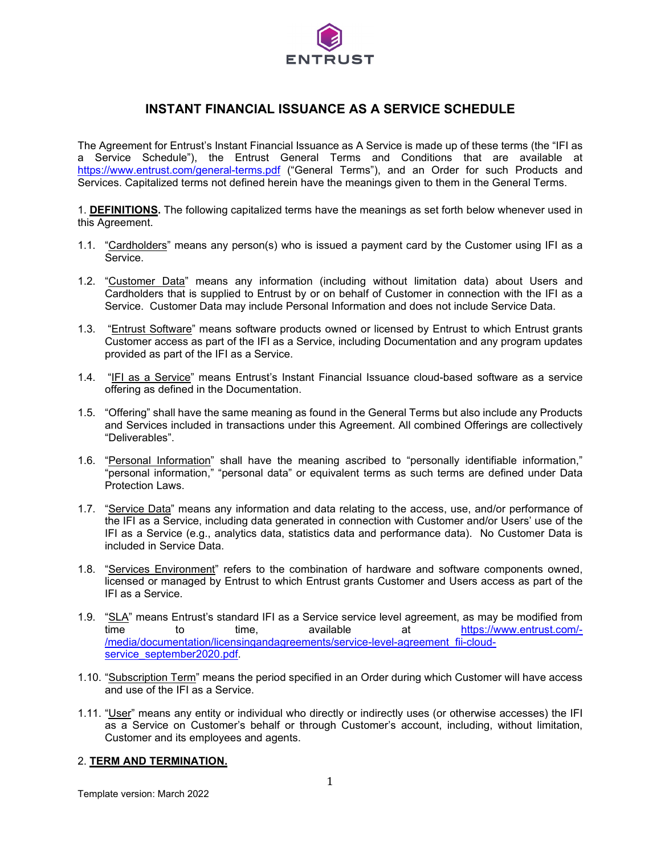

# **INSTANT FINANCIAL ISSUANCE AS A SERVICE SCHEDULE**

The Agreement for Entrust's Instant Financial Issuance as A Service is made up of these terms (the "IFI as a Service Schedule"), the Entrust General Terms and Conditions that are available at <https://www.entrust.com/general-terms.pdf> ("General Terms"), and an Order for such Products and Services. Capitalized terms not defined herein have the meanings given to them in the General Terms.

1. **DEFINITIONS.** The following capitalized terms have the meanings as set forth below whenever used in this Agreement.

- 1.1. "Cardholders" means any person(s) who is issued a payment card by the Customer using IFI as a Service.
- 1.2. "Customer Data" means any information (including without limitation data) about Users and Cardholders that is supplied to Entrust by or on behalf of Customer in connection with the IFI as a Service. Customer Data may include Personal Information and does not include Service Data.
- 1.3. "Entrust Software" means software products owned or licensed by Entrust to which Entrust grants Customer access as part of the IFI as a Service, including Documentation and any program updates provided as part of the IFI as a Service.
- 1.4. "IFI as a Service" means Entrust's Instant Financial Issuance cloud-based software as a service offering as defined in the Documentation.
- 1.5. "Offering" shall have the same meaning as found in the General Terms but also include any Products and Services included in transactions under this Agreement. All combined Offerings are collectively "Deliverables".
- 1.6. "Personal Information" shall have the meaning ascribed to "personally identifiable information," "personal information," "personal data" or equivalent terms as such terms are defined under Data Protection Laws.
- 1.7. "Service Data" means any information and data relating to the access, use, and/or performance of the IFI as a Service, including data generated in connection with Customer and/or Users' use of the IFI as a Service (e.g., analytics data, statistics data and performance data). No Customer Data is included in Service Data.
- 1.8. "Services Environment" refers to the combination of hardware and software components owned, licensed or managed by Entrust to which Entrust grants Customer and Users access as part of the IFI as a Service.
- 1.9. "SLA" means Entrust's standard IFI as a Service service level agreement, as may be modified from time to time, available at [https://www.entrust.com/-](https://www.entrust.com/-/media/documentation/licensingandagreements/service-level-agreement_fii-cloud-service_september2020.pdf) [/media/documentation/licensingandagreements/service-level-agreement\\_fii-cloud](https://www.entrust.com/-/media/documentation/licensingandagreements/service-level-agreement_fii-cloud-service_september2020.pdf)service\_september2020.pdf
- 1.10. "Subscription Term" means the period specified in an Order during which Customer will have access and use of the IFI as a Service.
- 1.11. "User" means any entity or individual who directly or indirectly uses (or otherwise accesses) the IFI as a Service on Customer's behalf or through Customer's account, including, without limitation, Customer and its employees and agents.

#### 2. **TERM AND TERMINATION.**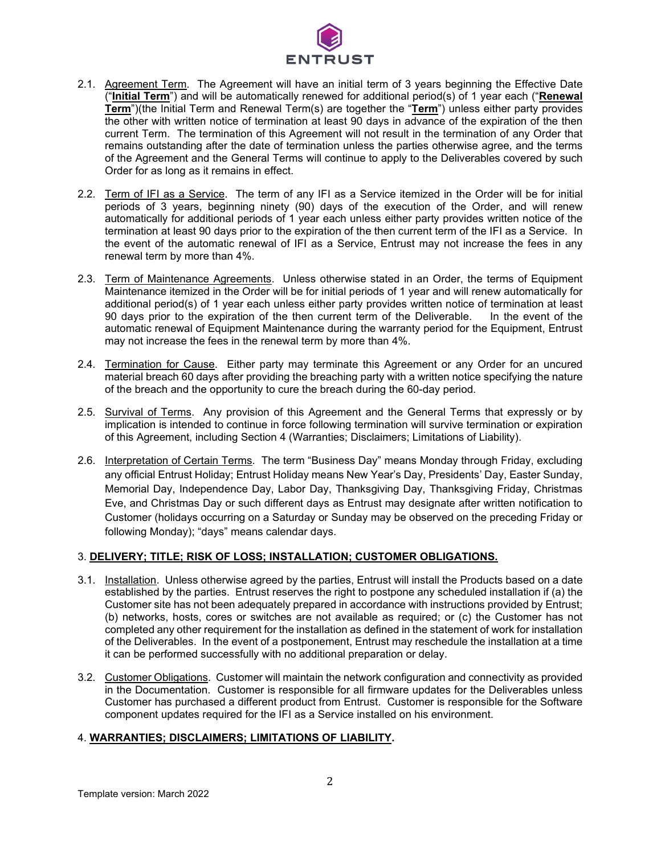

- 2.1. Agreement Term. The Agreement will have an initial term of 3 years beginning the Effective Date ("**Initial Term**") and will be automatically renewed for additional period(s) of 1 year each ("**Renewal Term**")(the Initial Term and Renewal Term(s) are together the "**Term**") unless either party provides the other with written notice of termination at least 90 days in advance of the expiration of the then current Term. The termination of this Agreement will not result in the termination of any Order that remains outstanding after the date of termination unless the parties otherwise agree, and the terms of the Agreement and the General Terms will continue to apply to the Deliverables covered by such Order for as long as it remains in effect.
- 2.2. Term of IFI as a Service. The term of any IFI as a Service itemized in the Order will be for initial periods of 3 years, beginning ninety (90) days of the execution of the Order, and will renew automatically for additional periods of 1 year each unless either party provides written notice of the termination at least 90 days prior to the expiration of the then current term of the IFI as a Service. In the event of the automatic renewal of IFI as a Service, Entrust may not increase the fees in any renewal term by more than 4%.
- 2.3. Term of Maintenance Agreements. Unless otherwise stated in an Order, the terms of Equipment Maintenance itemized in the Order will be for initial periods of 1 year and will renew automatically for additional period(s) of 1 year each unless either party provides written notice of termination at least 90 days prior to the expiration of the then current term of the Deliverable. In the event of the automatic renewal of Equipment Maintenance during the warranty period for the Equipment, Entrust may not increase the fees in the renewal term by more than 4%.
- 2.4. Termination for Cause. Either party may terminate this Agreement or any Order for an uncured material breach 60 days after providing the breaching party with a written notice specifying the nature of the breach and the opportunity to cure the breach during the 60-day period.
- 2.5. Survival of Terms. Any provision of this Agreement and the General Terms that expressly or by implication is intended to continue in force following termination will survive termination or expiration of this Agreement, including Section 4 (Warranties; Disclaimers; Limitations of Liability).
- 2.6. Interpretation of Certain Terms. The term "Business Day" means Monday through Friday, excluding any official Entrust Holiday; Entrust Holiday means New Year's Day, Presidents' Day, Easter Sunday, Memorial Day, Independence Day, Labor Day, Thanksgiving Day, Thanksgiving Friday, Christmas Eve, and Christmas Day or such different days as Entrust may designate after written notification to Customer (holidays occurring on a Saturday or Sunday may be observed on the preceding Friday or following Monday); "days" means calendar days.

# 3. **DELIVERY; TITLE; RISK OF LOSS; INSTALLATION; CUSTOMER OBLIGATIONS.**

- 3.1. Installation. Unless otherwise agreed by the parties, Entrust will install the Products based on a date established by the parties. Entrust reserves the right to postpone any scheduled installation if (a) the Customer site has not been adequately prepared in accordance with instructions provided by Entrust; (b) networks, hosts, cores or switches are not available as required; or (c) the Customer has not completed any other requirement for the installation as defined in the statement of work for installation of the Deliverables. In the event of a postponement, Entrust may reschedule the installation at a time it can be performed successfully with no additional preparation or delay.
- 3.2. Customer Obligations. Customer will maintain the network configuration and connectivity as provided in the Documentation. Customer is responsible for all firmware updates for the Deliverables unless Customer has purchased a different product from Entrust. Customer is responsible for the Software component updates required for the IFI as a Service installed on his environment.

# 4. **WARRANTIES; DISCLAIMERS; LIMITATIONS OF LIABILITY.**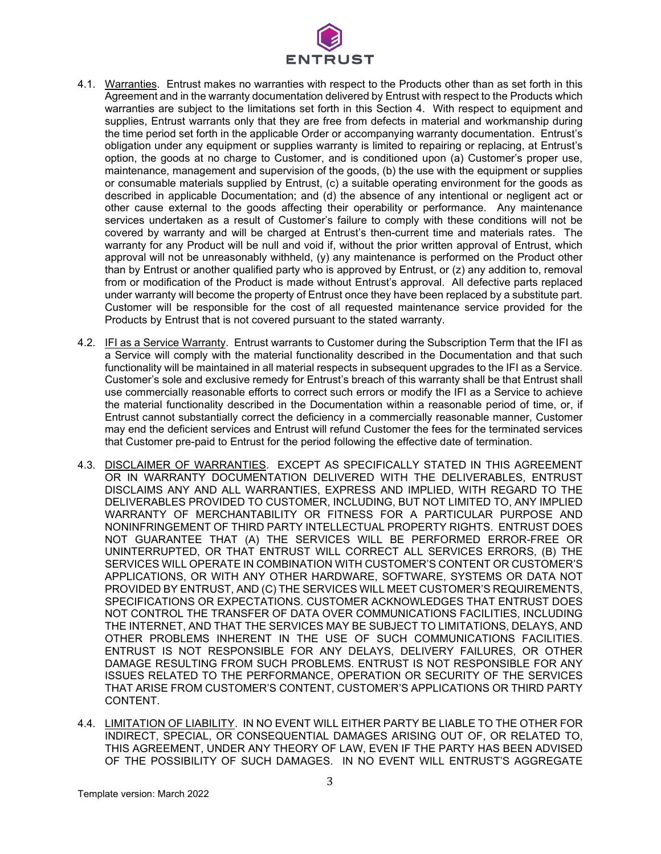

- 4.1. Warranties. Entrust makes no warranties with respect to the Products other than as set forth in this Agreement and in the warranty documentation delivered by Entrust with respect to the Products which warranties are subject to the limitations set forth in this Section 4. With respect to equipment and supplies, Entrust warrants only that they are free from defects in material and workmanship during the time period set forth in the applicable Order or accompanying warranty documentation. Entrust's obligation under any equipment or supplies warranty is limited to repairing or replacing, at Entrust's option, the goods at no charge to Customer, and is conditioned upon (a) Customer's proper use, maintenance, management and supervision of the goods, (b) the use with the equipment or supplies or consumable materials supplied by Entrust, (c) a suitable operating environment for the goods as described in applicable Documentation; and (d) the absence of any intentional or negligent act or other cause external to the goods affecting their operability or performance. Any maintenance services undertaken as a result of Customer's failure to comply with these conditions will not be covered by warranty and will be charged at Entrust's then-current time and materials rates. The warranty for any Product will be null and void if, without the prior written approval of Entrust, which approval will not be unreasonably withheld, (y) any maintenance is performed on the Product other than by Entrust or another qualified party who is approved by Entrust, or (z) any addition to, removal from or modification of the Product is made without Entrust's approval. All defective parts replaced under warranty will become the property of Entrust once they have been replaced by a substitute part. Customer will be responsible for the cost of all requested maintenance service provided for the Products by Entrust that is not covered pursuant to the stated warranty.
- 4.2. IFI as a Service Warranty. Entrust warrants to Customer during the Subscription Term that the IFI as a Service will comply with the material functionality described in the Documentation and that such functionality will be maintained in all material respects in subsequent upgrades to the IFI as a Service. Customer's sole and exclusive remedy for Entrust's breach of this warranty shall be that Entrust shall use commercially reasonable efforts to correct such errors or modify the IFI as a Service to achieve the material functionality described in the Documentation within a reasonable period of time, or, if Entrust cannot substantially correct the deficiency in a commercially reasonable manner, Customer may end the deficient services and Entrust will refund Customer the fees for the terminated services that Customer pre-paid to Entrust for the period following the effective date of termination.
- 4.3. DISCLAIMER OF WARRANTIES. EXCEPT AS SPECIFICALLY STATED IN THIS AGREEMENT OR IN WARRANTY DOCUMENTATION DELIVERED WITH THE DELIVERABLES, ENTRUST DISCLAIMS ANY AND ALL WARRANTIES, EXPRESS AND IMPLIED, WITH REGARD TO THE DELIVERABLES PROVIDED TO CUSTOMER, INCLUDING, BUT NOT LIMITED TO, ANY IMPLIED WARRANTY OF MERCHANTABILITY OR FITNESS FOR A PARTICULAR PURPOSE AND NONINFRINGEMENT OF THIRD PARTY INTELLECTUAL PROPERTY RIGHTS. ENTRUST DOES NOT GUARANTEE THAT (A) THE SERVICES WILL BE PERFORMED ERROR-FREE OR UNINTERRUPTED, OR THAT ENTRUST WILL CORRECT ALL SERVICES ERRORS, (B) THE SERVICES WILL OPERATE IN COMBINATION WITH CUSTOMER'S CONTENT OR CUSTOMER'S APPLICATIONS, OR WITH ANY OTHER HARDWARE, SOFTWARE, SYSTEMS OR DATA NOT PROVIDED BY ENTRUST, AND (C) THE SERVICES WILL MEET CUSTOMER'S REQUIREMENTS, SPECIFICATIONS OR EXPECTATIONS. CUSTOMER ACKNOWLEDGES THAT ENTRUST DOES NOT CONTROL THE TRANSFER OF DATA OVER COMMUNICATIONS FACILITIES, INCLUDING THE INTERNET, AND THAT THE SERVICES MAY BE SUBJECT TO LIMITATIONS, DELAYS, AND OTHER PROBLEMS INHERENT IN THE USE OF SUCH COMMUNICATIONS FACILITIES. ENTRUST IS NOT RESPONSIBLE FOR ANY DELAYS, DELIVERY FAILURES, OR OTHER DAMAGE RESULTING FROM SUCH PROBLEMS. ENTRUST IS NOT RESPONSIBLE FOR ANY ISSUES RELATED TO THE PERFORMANCE, OPERATION OR SECURITY OF THE SERVICES THAT ARISE FROM CUSTOMER'S CONTENT, CUSTOMER'S APPLICATIONS OR THIRD PARTY CONTENT.
- 4.4. LIMITATION OF LIABILITY. IN NO EVENT WILL EITHER PARTY BE LIABLE TO THE OTHER FOR INDIRECT, SPECIAL, OR CONSEQUENTIAL DAMAGES ARISING OUT OF, OR RELATED TO, THIS AGREEMENT, UNDER ANY THEORY OF LAW, EVEN IF THE PARTY HAS BEEN ADVISED OF THE POSSIBILITY OF SUCH DAMAGES. IN NO EVENT WILL ENTRUST'S AGGREGATE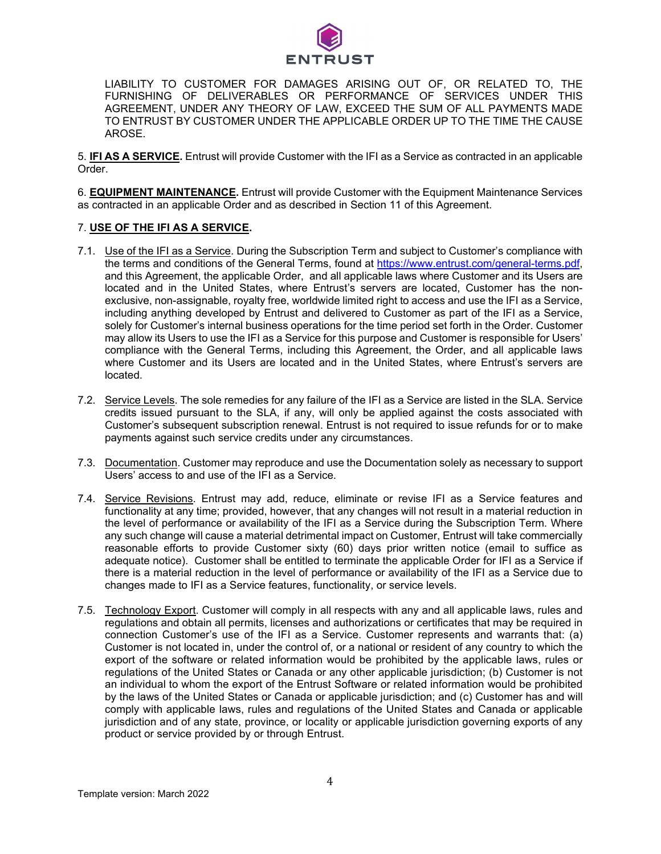

LIABILITY TO CUSTOMER FOR DAMAGES ARISING OUT OF, OR RELATED TO, THE FURNISHING OF DELIVERABLES OR PERFORMANCE OF SERVICES UNDER THIS AGREEMENT, UNDER ANY THEORY OF LAW, EXCEED THE SUM OF ALL PAYMENTS MADE TO ENTRUST BY CUSTOMER UNDER THE APPLICABLE ORDER UP TO THE TIME THE CAUSE AROSE.

5. **IFI AS A SERVICE.** Entrust will provide Customer with the IFI as a Service as contracted in an applicable Order.

6. **EQUIPMENT MAINTENANCE.** Entrust will provide Customer with the Equipment Maintenance Services as contracted in an applicable Order and as described in Section 11 of this Agreement.

#### 7. **USE OF THE IFI AS A SERVICE.**

- 7.1. Use of the IFI as a Service. During the Subscription Term and subject to Customer's compliance with the terms and conditions of the General Terms, found at [https://www.entrust.com/general-terms.pdf,](https://www.entrust.com/general-terms.pdf) and this Agreement, the applicable Order, and all applicable laws where Customer and its Users are located and in the United States, where Entrust's servers are located, Customer has the nonexclusive, non-assignable, royalty free, worldwide limited right to access and use the IFI as a Service, including anything developed by Entrust and delivered to Customer as part of the IFI as a Service, solely for Customer's internal business operations for the time period set forth in the Order. Customer may allow its Users to use the IFI as a Service for this purpose and Customer is responsible for Users' compliance with the General Terms, including this Agreement, the Order, and all applicable laws where Customer and its Users are located and in the United States, where Entrust's servers are located.
- 7.2. Service Levels. The sole remedies for any failure of the IFI as a Service are listed in the SLA. Service credits issued pursuant to the SLA, if any, will only be applied against the costs associated with Customer's subsequent subscription renewal. Entrust is not required to issue refunds for or to make payments against such service credits under any circumstances.
- 7.3. Documentation. Customer may reproduce and use the Documentation solely as necessary to support Users' access to and use of the IFI as a Service.
- 7.4. Service Revisions. Entrust may add, reduce, eliminate or revise IFI as a Service features and functionality at any time; provided, however, that any changes will not result in a material reduction in the level of performance or availability of the IFI as a Service during the Subscription Term. Where any such change will cause a material detrimental impact on Customer, Entrust will take commercially reasonable efforts to provide Customer sixty (60) days prior written notice (email to suffice as adequate notice). Customer shall be entitled to terminate the applicable Order for IFI as a Service if there is a material reduction in the level of performance or availability of the IFI as a Service due to changes made to IFI as a Service features, functionality, or service levels.
- 7.5. Technology Export. Customer will comply in all respects with any and all applicable laws, rules and regulations and obtain all permits, licenses and authorizations or certificates that may be required in connection Customer's use of the IFI as a Service. Customer represents and warrants that: (a) Customer is not located in, under the control of, or a national or resident of any country to which the export of the software or related information would be prohibited by the applicable laws, rules or regulations of the United States or Canada or any other applicable jurisdiction; (b) Customer is not an individual to whom the export of the Entrust Software or related information would be prohibited by the laws of the United States or Canada or applicable jurisdiction; and (c) Customer has and will comply with applicable laws, rules and regulations of the United States and Canada or applicable jurisdiction and of any state, province, or locality or applicable jurisdiction governing exports of any product or service provided by or through Entrust.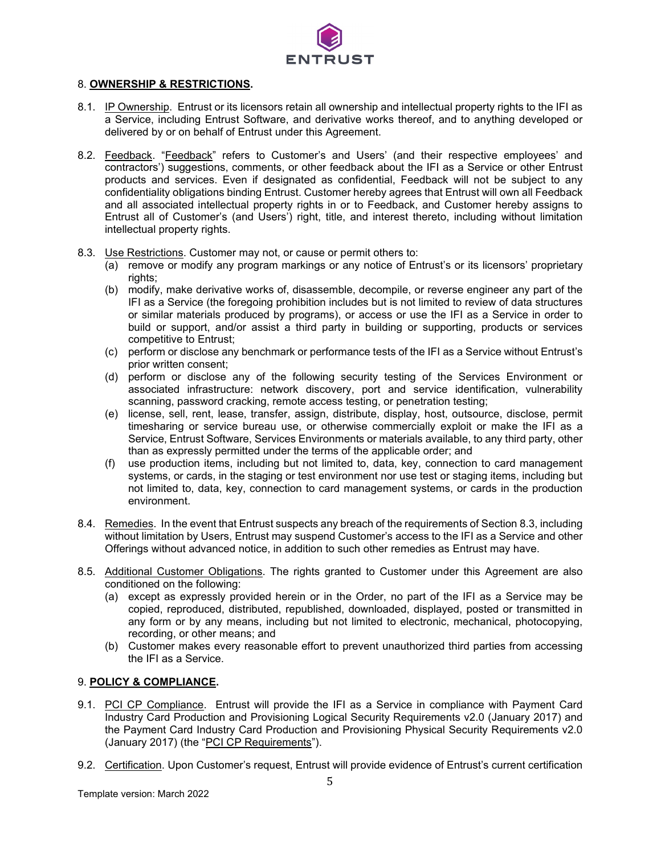

#### 8. **OWNERSHIP & RESTRICTIONS.**

- 8.1. IP Ownership. Entrust or its licensors retain all ownership and intellectual property rights to the IFI as a Service, including Entrust Software, and derivative works thereof, and to anything developed or delivered by or on behalf of Entrust under this Agreement.
- 8.2. Feedback. "Feedback" refers to Customer's and Users' (and their respective employees' and contractors') suggestions, comments, or other feedback about the IFI as a Service or other Entrust products and services. Even if designated as confidential, Feedback will not be subject to any confidentiality obligations binding Entrust. Customer hereby agrees that Entrust will own all Feedback and all associated intellectual property rights in or to Feedback, and Customer hereby assigns to Entrust all of Customer's (and Users') right, title, and interest thereto, including without limitation intellectual property rights.
- 8.3. Use Restrictions. Customer may not, or cause or permit others to:
	- (a) remove or modify any program markings or any notice of Entrust's or its licensors' proprietary rights;
	- (b) modify, make derivative works of, disassemble, decompile, or reverse engineer any part of the IFI as a Service (the foregoing prohibition includes but is not limited to review of data structures or similar materials produced by programs), or access or use the IFI as a Service in order to build or support, and/or assist a third party in building or supporting, products or services competitive to Entrust;
	- (c) perform or disclose any benchmark or performance tests of the IFI as a Service without Entrust's prior written consent;
	- (d) perform or disclose any of the following security testing of the Services Environment or associated infrastructure: network discovery, port and service identification, vulnerability scanning, password cracking, remote access testing, or penetration testing;
	- (e) license, sell, rent, lease, transfer, assign, distribute, display, host, outsource, disclose, permit timesharing or service bureau use, or otherwise commercially exploit or make the IFI as a Service, Entrust Software, Services Environments or materials available, to any third party, other than as expressly permitted under the terms of the applicable order; and
	- (f) use production items, including but not limited to, data, key, connection to card management systems, or cards, in the staging or test environment nor use test or staging items, including but not limited to, data, key, connection to card management systems, or cards in the production environment.
- 8.4. Remedies. In the event that Entrust suspects any breach of the requirements of Section 8.3, including without limitation by Users, Entrust may suspend Customer's access to the IFI as a Service and other Offerings without advanced notice, in addition to such other remedies as Entrust may have.
- 8.5. Additional Customer Obligations. The rights granted to Customer under this Agreement are also conditioned on the following:
	- (a) except as expressly provided herein or in the Order, no part of the IFI as a Service may be copied, reproduced, distributed, republished, downloaded, displayed, posted or transmitted in any form or by any means, including but not limited to electronic, mechanical, photocopying, recording, or other means; and
	- (b) Customer makes every reasonable effort to prevent unauthorized third parties from accessing the IFI as a Service.

# 9. **POLICY & COMPLIANCE.**

- 9.1. PCI CP Compliance. Entrust will provide the IFI as a Service in compliance with Payment Card Industry Card Production and Provisioning Logical Security Requirements v2.0 (January 2017) and the Payment Card Industry Card Production and Provisioning Physical Security Requirements v2.0 (January 2017) (the "PCI CP Requirements").
- 9.2. Certification. Upon Customer's request, Entrust will provide evidence of Entrust's current certification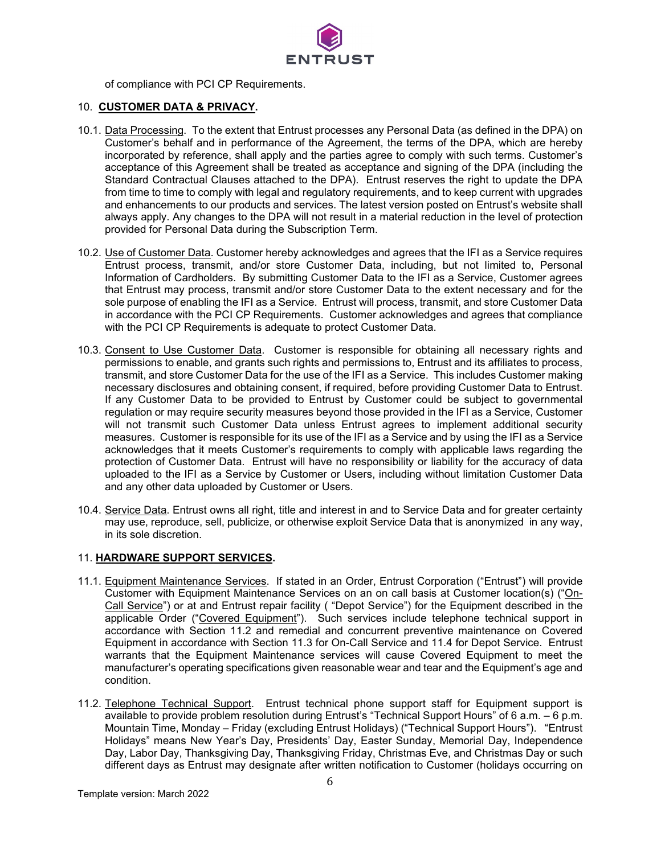

of compliance with PCI CP Requirements.

# 10. **CUSTOMER DATA & PRIVACY.**

- 10.1. Data Processing. To the extent that Entrust processes any Personal Data (as defined in the DPA) on Customer's behalf and in performance of the Agreement, the terms of the DPA, which are hereby incorporated by reference, shall apply and the parties agree to comply with such terms. Customer's acceptance of this Agreement shall be treated as acceptance and signing of the DPA (including the Standard Contractual Clauses attached to the DPA). Entrust reserves the right to update the DPA from time to time to comply with legal and regulatory requirements, and to keep current with upgrades and enhancements to our products and services. The latest version posted on Entrust's website shall always apply. Any changes to the DPA will not result in a material reduction in the level of protection provided for Personal Data during the Subscription Term.
- 10.2. Use of Customer Data. Customer hereby acknowledges and agrees that the IFI as a Service requires Entrust process, transmit, and/or store Customer Data, including, but not limited to, Personal Information of Cardholders. By submitting Customer Data to the IFI as a Service, Customer agrees that Entrust may process, transmit and/or store Customer Data to the extent necessary and for the sole purpose of enabling the IFI as a Service. Entrust will process, transmit, and store Customer Data in accordance with the PCI CP Requirements. Customer acknowledges and agrees that compliance with the PCI CP Requirements is adequate to protect Customer Data.
- 10.3. Consent to Use Customer Data. Customer is responsible for obtaining all necessary rights and permissions to enable, and grants such rights and permissions to, Entrust and its affiliates to process, transmit, and store Customer Data for the use of the IFI as a Service. This includes Customer making necessary disclosures and obtaining consent, if required, before providing Customer Data to Entrust. If any Customer Data to be provided to Entrust by Customer could be subject to governmental regulation or may require security measures beyond those provided in the IFI as a Service, Customer will not transmit such Customer Data unless Entrust agrees to implement additional security measures. Customer is responsible for its use of the IFI as a Service and by using the IFI as a Service acknowledges that it meets Customer's requirements to comply with applicable laws regarding the protection of Customer Data. Entrust will have no responsibility or liability for the accuracy of data uploaded to the IFI as a Service by Customer or Users, including without limitation Customer Data and any other data uploaded by Customer or Users.
- 10.4. Service Data. Entrust owns all right, title and interest in and to Service Data and for greater certainty may use, reproduce, sell, publicize, or otherwise exploit Service Data that is anonymized in any way, in its sole discretion.

#### 11. **HARDWARE SUPPORT SERVICES.**

- 11.1. Equipment Maintenance Services. If stated in an Order, Entrust Corporation ("Entrust") will provide Customer with Equipment Maintenance Services on an on call basis at Customer location(s) ("On-Call Service") or at and Entrust repair facility ( "Depot Service") for the Equipment described in the applicable Order ("Covered Equipment"). Such services include telephone technical support in accordance with Section 11.2 and remedial and concurrent preventive maintenance on Covered Equipment in accordance with Section 11.3 for On-Call Service and 11.4 for Depot Service. Entrust warrants that the Equipment Maintenance services will cause Covered Equipment to meet the manufacturer's operating specifications given reasonable wear and tear and the Equipment's age and condition.
- 11.2. Telephone Technical Support. Entrust technical phone support staff for Equipment support is available to provide problem resolution during Entrust's "Technical Support Hours" of 6 a.m. – 6 p.m. Mountain Time, Monday – Friday (excluding Entrust Holidays) ("Technical Support Hours"). "Entrust Holidays" means New Year's Day, Presidents' Day, Easter Sunday, Memorial Day, Independence Day, Labor Day, Thanksgiving Day, Thanksgiving Friday, Christmas Eve, and Christmas Day or such different days as Entrust may designate after written notification to Customer (holidays occurring on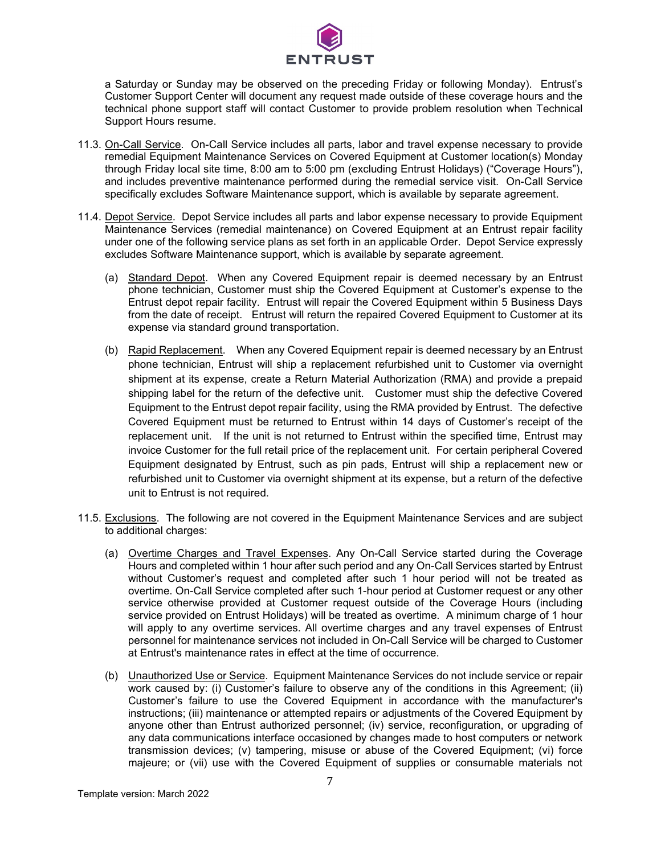

a Saturday or Sunday may be observed on the preceding Friday or following Monday). Entrust's Customer Support Center will document any request made outside of these coverage hours and the technical phone support staff will contact Customer to provide problem resolution when Technical Support Hours resume.

- 11.3. On-Call Service. On-Call Service includes all parts, labor and travel expense necessary to provide remedial Equipment Maintenance Services on Covered Equipment at Customer location(s) Monday through Friday local site time, 8:00 am to 5:00 pm (excluding Entrust Holidays) ("Coverage Hours"), and includes preventive maintenance performed during the remedial service visit. On-Call Service specifically excludes Software Maintenance support, which is available by separate agreement.
- 11.4. Depot Service. Depot Service includes all parts and labor expense necessary to provide Equipment Maintenance Services (remedial maintenance) on Covered Equipment at an Entrust repair facility under one of the following service plans as set forth in an applicable Order. Depot Service expressly excludes Software Maintenance support, which is available by separate agreement.
	- (a) Standard Depot. When any Covered Equipment repair is deemed necessary by an Entrust phone technician, Customer must ship the Covered Equipment at Customer's expense to the Entrust depot repair facility. Entrust will repair the Covered Equipment within 5 Business Days from the date of receipt. Entrust will return the repaired Covered Equipment to Customer at its expense via standard ground transportation.
	- (b) Rapid Replacement. When any Covered Equipment repair is deemed necessary by an Entrust phone technician, Entrust will ship a replacement refurbished unit to Customer via overnight shipment at its expense, create a Return Material Authorization (RMA) and provide a prepaid shipping label for the return of the defective unit. Customer must ship the defective Covered Equipment to the Entrust depot repair facility, using the RMA provided by Entrust. The defective Covered Equipment must be returned to Entrust within 14 days of Customer's receipt of the replacement unit. If the unit is not returned to Entrust within the specified time, Entrust may invoice Customer for the full retail price of the replacement unit. For certain peripheral Covered Equipment designated by Entrust, such as pin pads, Entrust will ship a replacement new or refurbished unit to Customer via overnight shipment at its expense, but a return of the defective unit to Entrust is not required.
- 11.5. Exclusions. The following are not covered in the Equipment Maintenance Services and are subject to additional charges:
	- (a) Overtime Charges and Travel Expenses. Any On-Call Service started during the Coverage Hours and completed within 1 hour after such period and any On-Call Services started by Entrust without Customer's request and completed after such 1 hour period will not be treated as overtime. On-Call Service completed after such 1-hour period at Customer request or any other service otherwise provided at Customer request outside of the Coverage Hours (including service provided on Entrust Holidays) will be treated as overtime. A minimum charge of 1 hour will apply to any overtime services. All overtime charges and any travel expenses of Entrust personnel for maintenance services not included in On-Call Service will be charged to Customer at Entrust's maintenance rates in effect at the time of occurrence.
	- (b) Unauthorized Use or Service. Equipment Maintenance Services do not include service or repair work caused by: (i) Customer's failure to observe any of the conditions in this Agreement; (ii) Customer's failure to use the Covered Equipment in accordance with the manufacturer's instructions; (iii) maintenance or attempted repairs or adjustments of the Covered Equipment by anyone other than Entrust authorized personnel; (iv) service, reconfiguration, or upgrading of any data communications interface occasioned by changes made to host computers or network transmission devices; (v) tampering, misuse or abuse of the Covered Equipment; (vi) force majeure; or (vii) use with the Covered Equipment of supplies or consumable materials not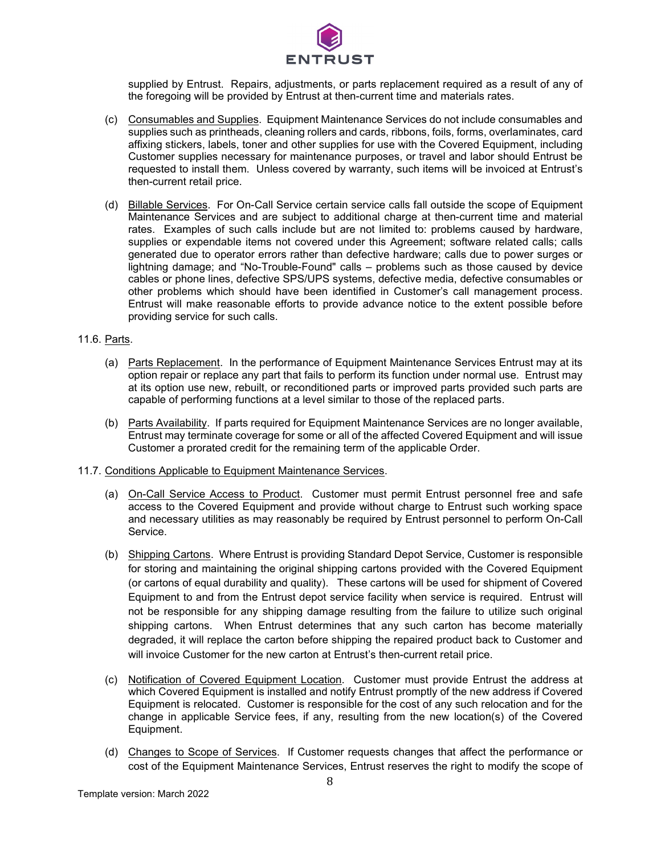

supplied by Entrust. Repairs, adjustments, or parts replacement required as a result of any of the foregoing will be provided by Entrust at then-current time and materials rates.

- (c) Consumables and Supplies. Equipment Maintenance Services do not include consumables and supplies such as printheads, cleaning rollers and cards, ribbons, foils, forms, overlaminates, card affixing stickers, labels, toner and other supplies for use with the Covered Equipment, including Customer supplies necessary for maintenance purposes, or travel and labor should Entrust be requested to install them. Unless covered by warranty, such items will be invoiced at Entrust's then-current retail price.
- (d) Billable Services. For On-Call Service certain service calls fall outside the scope of Equipment Maintenance Services and are subject to additional charge at then-current time and material rates. Examples of such calls include but are not limited to: problems caused by hardware, supplies or expendable items not covered under this Agreement; software related calls; calls generated due to operator errors rather than defective hardware; calls due to power surges or lightning damage; and "No-Trouble-Found" calls – problems such as those caused by device cables or phone lines, defective SPS/UPS systems, defective media, defective consumables or other problems which should have been identified in Customer's call management process. Entrust will make reasonable efforts to provide advance notice to the extent possible before providing service for such calls.

### 11.6. Parts.

- (a) Parts Replacement. In the performance of Equipment Maintenance Services Entrust may at its option repair or replace any part that fails to perform its function under normal use. Entrust may at its option use new, rebuilt, or reconditioned parts or improved parts provided such parts are capable of performing functions at a level similar to those of the replaced parts.
- (b) Parts Availability. If parts required for Equipment Maintenance Services are no longer available, Entrust may terminate coverage for some or all of the affected Covered Equipment and will issue Customer a prorated credit for the remaining term of the applicable Order.

#### 11.7. Conditions Applicable to Equipment Maintenance Services.

- (a) On-Call Service Access to Product. Customer must permit Entrust personnel free and safe access to the Covered Equipment and provide without charge to Entrust such working space and necessary utilities as may reasonably be required by Entrust personnel to perform On-Call Service.
- (b) Shipping Cartons. Where Entrust is providing Standard Depot Service, Customer is responsible for storing and maintaining the original shipping cartons provided with the Covered Equipment (or cartons of equal durability and quality). These cartons will be used for shipment of Covered Equipment to and from the Entrust depot service facility when service is required. Entrust will not be responsible for any shipping damage resulting from the failure to utilize such original shipping cartons. When Entrust determines that any such carton has become materially degraded, it will replace the carton before shipping the repaired product back to Customer and will invoice Customer for the new carton at Entrust's then-current retail price.
- (c) Notification of Covered Equipment Location. Customer must provide Entrust the address at which Covered Equipment is installed and notify Entrust promptly of the new address if Covered Equipment is relocated. Customer is responsible for the cost of any such relocation and for the change in applicable Service fees, if any, resulting from the new location(s) of the Covered Equipment.
- (d) Changes to Scope of Services. If Customer requests changes that affect the performance or cost of the Equipment Maintenance Services, Entrust reserves the right to modify the scope of